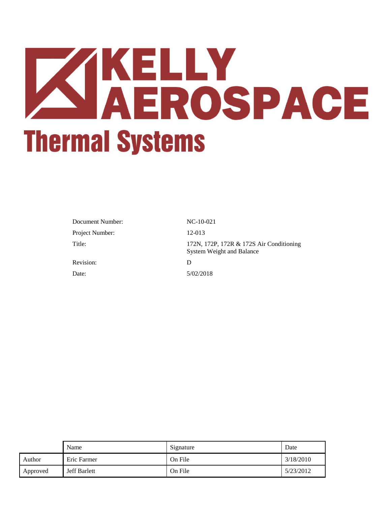# **KINGLIY<br>AEROSPACE Thermal Systems**

| Document Number: | $NC-10-021$                                                                  |
|------------------|------------------------------------------------------------------------------|
| Project Number:  | 12-013                                                                       |
| Title:           | 172N, 172P, 172R & 172S Air Conditioning<br><b>System Weight and Balance</b> |
| Revision:        | D                                                                            |
| Date:            | 5/02/2018                                                                    |

|               | Name                | Signature | Date      |
|---------------|---------------------|-----------|-----------|
| <b>Author</b> | Eric Farmer         | On File   | 3/18/2010 |
| Approved      | <b>Jeff Barlett</b> | On File   | 5/23/2012 |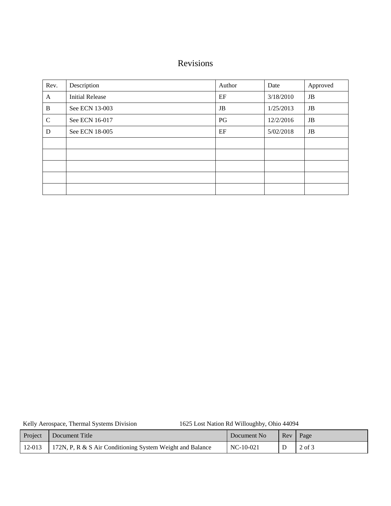# Revisions

| Rev.         | Description            | Author | Date      | Approved    |
|--------------|------------------------|--------|-----------|-------------|
| A            | <b>Initial Release</b> | EF     | 3/18/2010 | JB          |
| B            | See ECN 13-003         | JB     | 1/25/2013 | $_{\rm JB}$ |
| $\mathsf{C}$ | See ECN 16-017         | PG     | 12/2/2016 | JB          |
| D            | See ECN 18-005         | EF     | 5/02/2018 | JB          |
|              |                        |        |           |             |
|              |                        |        |           |             |
|              |                        |        |           |             |
|              |                        |        |           |             |
|              |                        |        |           |             |

Kelly Aerospace, Thermal Systems Division 1625 Lost Nation Rd Willoughby, Ohio 44094

| Project | Document Title                                                     | Document No | Rev Page |        |
|---------|--------------------------------------------------------------------|-------------|----------|--------|
|         | 12-013   172N, P, R & S Air Conditioning System Weight and Balance | $NC-10-021$ |          | 2 of 3 |